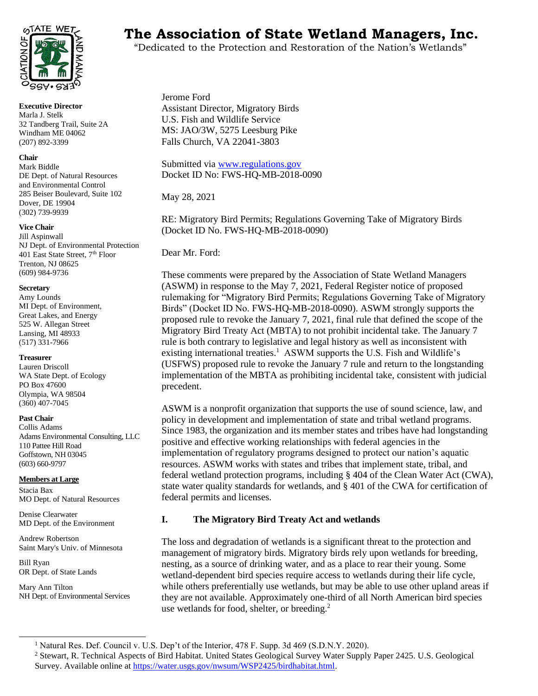

**Executive Director** Marla J. Stelk 32 Tandberg Trail, Suite 2A Windham ME 04062 (207) 892-3399

#### **Chair**

Mark Biddle DE Dept. of Natural Resources and Environmental Control 285 Beiser Boulevard, Suite 102 Dover, DE 19904 (302) 739-9939

#### **Vice Chair**

Jill Aspinwall NJ Dept. of Environmental Protection 401 East State Street, 7<sup>th</sup> Floor Trenton, NJ 08625 (609) 984-9736

#### **Secretary**

Amy Lounds MI Dept. of Environment, Great Lakes, and Energy 525 W. Allegan Street Lansing, MI 48933 (517) 331-7966

#### **Treasurer**

Lauren Driscoll WA State Dept. of Ecology PO Box 47600 Olympia, WA 98504 (360) 407-7045

#### **Past Chair**

Collis Adams Adams Environmental Consulting, LLC 110 Pattee Hill Road Goffstown, NH 03045 (603) 660-9797

#### **Members at Large**

Stacia Bax MO Dept. of Natural Resources

Denise Clearwater MD Dept. of the Environment

Andrew Robertson Saint Mary's Univ. of Minnesota

Bill Ryan OR Dept. of State Lands

Mary Ann Tilton NH Dept. of Environmental Services

# **TAIE WETS** The Association of State Wetland Managers, Inc.

"Dedicated to the Protection and Restoration of the Nation's Wetlands"

Jerome Ford Assistant Director, Migratory Birds U.S. Fish and Wildlife Service MS: JAO/3W, 5275 Leesburg Pike Falls Church, VA 22041-3803

Submitted via [www.regulations.gov](http://www.regulations.gov/) Docket ID No: FWS-HQ-MB-2018-0090

May 28, 2021

RE: Migratory Bird Permits; Regulations Governing Take of Migratory Birds (Docket ID No. FWS-HQ-MB-2018-0090)

Dear Mr. Ford:

These comments were prepared by the Association of State Wetland Managers (ASWM) in response to the May 7, 2021, Federal Register notice of proposed rulemaking for "Migratory Bird Permits; Regulations Governing Take of Migratory Birds" (Docket ID No. FWS-HQ-MB-2018-0090). ASWM strongly supports the proposed rule to revoke the January 7, 2021, final rule that defined the scope of the Migratory Bird Treaty Act (MBTA) to not prohibit incidental take. The January 7 rule is both contrary to legislative and legal history as well as inconsistent with existing international treaties.<sup>1</sup> ASWM supports the U.S. Fish and Wildlife's (USFWS) proposed rule to revoke the January 7 rule and return to the longstanding implementation of the MBTA as prohibiting incidental take, consistent with judicial precedent.

ASWM is a nonprofit organization that supports the use of sound science, law, and policy in development and implementation of state and tribal wetland programs. Since 1983, the organization and its member states and tribes have had longstanding positive and effective working relationships with federal agencies in the implementation of regulatory programs designed to protect our nation's aquatic resources. ASWM works with states and tribes that implement state, tribal, and federal wetland protection programs, including § 404 of the Clean Water Act (CWA), state water quality standards for wetlands, and § 401 of the CWA for certification of federal permits and licenses.

### **I. The Migratory Bird Treaty Act and wetlands**

The loss and degradation of wetlands is a significant threat to the protection and management of migratory birds. Migratory birds rely upon wetlands for breeding, nesting, as a source of drinking water, and as a place to rear their young. Some wetland-dependent bird species require access to wetlands during their life cycle, while others preferentially use wetlands, but may be able to use other upland areas if they are not available. Approximately one-third of all North American bird species use wetlands for food, shelter, or breeding.<sup>2</sup>

<sup>&</sup>lt;sup>1</sup> Natural Res. Def. Council v. U.S. Dep't of the Interior, 478 F. Supp. 3d 469 (S.D.N.Y. 2020).

<sup>2</sup> Stewart, R. Technical Aspects of Bird Habitat. United States Geological Survey Water Supply Paper 2425. U.S. Geological Survey. Available online a[t https://water.usgs.gov/nwsum/WSP2425/birdhabitat.html.](https://water.usgs.gov/nwsum/WSP2425/birdhabitat.html)